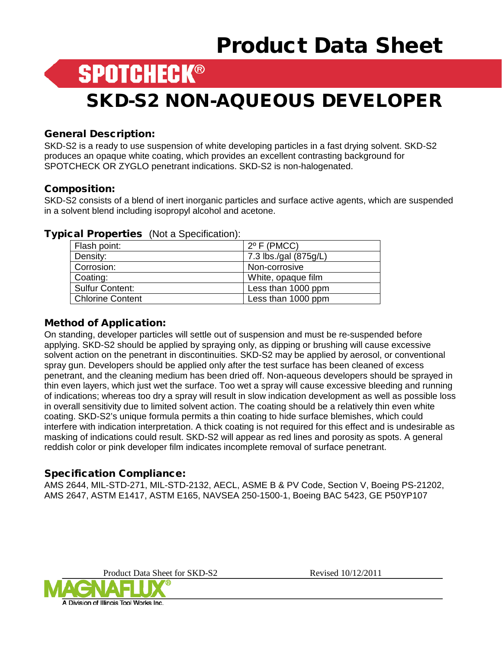## Product Data Sheet

### **SPOTCHECK®**

### SKD-S2 NON-AQUEOUS DEVELOPER

#### General Description:

SKD-S2 is a ready to use suspension of white developing particles in a fast drying solvent. SKD-S2 produces an opaque white coating, which provides an excellent contrasting background for SPOTCHECK OR ZYGLO penetrant indications. SKD-S2 is non-halogenated.

#### Composition:

SKD-S2 consists of a blend of inert inorganic particles and surface active agents, which are suspended in a solvent blend including isopropyl alcohol and acetone.

| Flash point:           | $2^{\circ}$ F (PMCC)  |
|------------------------|-----------------------|
| Density:               | 7.3 lbs./gal (875g/L) |
| Corrosion:             | Non-corrosive         |
| Coating:               | White, opaque film    |
| <b>Sulfur Content:</b> | Less than 1000 ppm    |
| Chlorine Content       | Less than 1000 ppm    |

#### Typical Properties (Not a Specification):

#### Method of Application:

On standing, developer particles will settle out of suspension and must be re-suspended before applying. SKD-S2 should be applied by spraying only, as dipping or brushing will cause excessive solvent action on the penetrant in discontinuities. SKD-S2 may be applied by aerosol, or conventional spray gun. Developers should be applied only after the test surface has been cleaned of excess penetrant, and the cleaning medium has been dried off. Non-aqueous developers should be sprayed in thin even layers, which just wet the surface. Too wet a spray will cause excessive bleeding and running of indications; whereas too dry a spray will result in slow indication development as well as possible loss in overall sensitivity due to limited solvent action. The coating should be a relatively thin even white coating. SKD-S2's unique formula permits a thin coating to hide surface blemishes, which could interfere with indication interpretation. A thick coating is not required for this effect and is undesirable as masking of indications could result. SKD-S2 will appear as red lines and porosity as spots. A general reddish color or pink developer film indicates incomplete removal of surface penetrant.

#### Specification Compliance:

AMS 2644, MIL-STD-271, MIL-STD-2132, AECL, ASME B & PV Code, Section V, Boeing PS-21202, AMS 2647, ASTM E1417, ASTM E165, NAVSEA 250-1500-1, Boeing BAC 5423, GE P50YP107